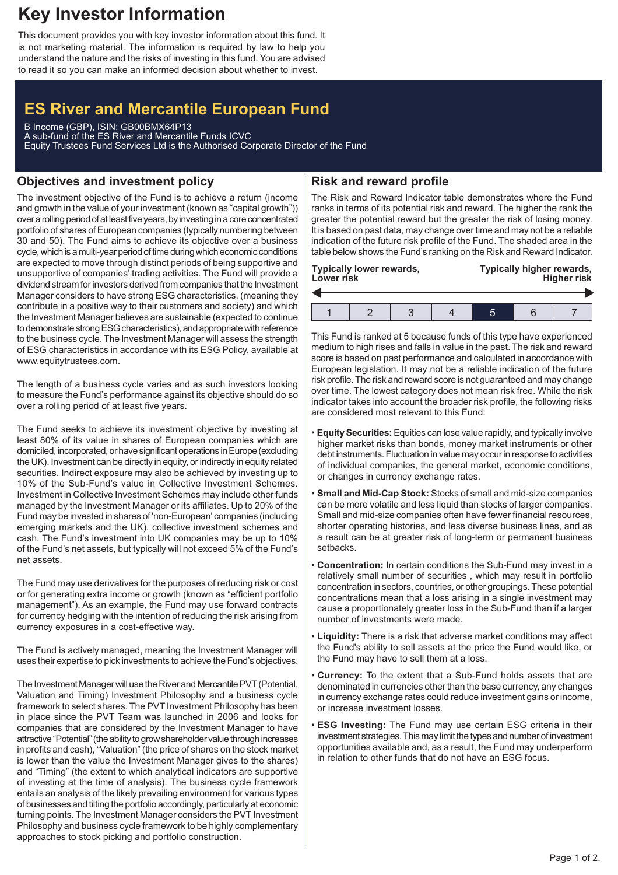## **Key Investor Information**

This document provides you with key investor information about this fund. It is not marketing material. The information is required by law to help you understand the nature and the risks of investing in this fund. You are advised to read it so you can make an informed decision about whether to invest.

# **ES River and Mercantile European Fund**

B Income (GBP), ISIN: GB00BMX64P13 A sub-fund of the ES River and Mercantile Funds ICVC Equity Trustees Fund Services Ltd is the Authorised Corporate Director of the Fund

## **Objectives and investment policy**

The investment objective of the Fund is to achieve a return (income and growth in the value of your investment (known as "capital growth")) over a rolling period of at least five years, by investing in a core concentrated portfolio of shares of European companies (typically numbering between 30 and 50). The Fund aims to achieve its objective over a business cycle, which is a multi-year period of time during which economic conditions are expected to move through distinct periods of being supportive and unsupportive of companies' trading activities. The Fund will provide a dividend stream for investors derived from companies that the Investment Manager considers to have strong ESG characteristics, (meaning they contribute in a positive way to their customers and society) and which the Investment Manager believes are sustainable (expected to continue to demonstrate strongESG characteristics), and appropriate with reference to the business cycle. The Investment Manager will assess the strength of ESG characteristics in accordance with its ESG Policy, available at www.equitytrustees.com.

The length of a business cycle varies and as such investors looking to measure the Fund's performance against its objective should do so over a rolling period of at least five years.

The Fund seeks to achieve its investment objective by investing at least 80% of its value in shares of European companies which are domiciled, incorporated, or have significant operations inEurope (excluding the UK). Investment can be directly in equity, or indirectly in equity related securities. Indirect exposure may also be achieved by investing up to 10% of the Sub-Fund's value in Collective Investment Schemes. Investment in Collective Investment Schemes may include other funds managed by the Investment Manager or its affiliates. Up to 20% of the Fund may be invested in shares of 'non-European' companies (including emerging markets and the UK), collective investment schemes and cash. The Fund's investment into UK companies may be up to 10% of the Fund's net assets, but typically will not exceed 5% of the Fund's net assets.

The Fund may use derivatives for the purposes of reducing risk or cost or for generating extra income or growth (known as "efficient portfolio management"). As an example, the Fund may use forward contracts for currency hedging with the intention of reducing the risk arising from currency exposures in a cost-effective way.

The Fund is actively managed, meaning the Investment Manager will uses their expertise to pick investments to achieve the Fund's objectives.

The Investment Manager will use the River and Mercantile PVT (Potential, Valuation and Timing) Investment Philosophy and a business cycle framework to select shares. The PVT Investment Philosophy has been in place since the PVT Team was launched in 2006 and looks for companies that are considered by the Investment Manager to have attractive "Potential" (the ability to grow shareholder value through increases in profits and cash), "Valuation" (the price of shares on the stock market is lower than the value the Investment Manager gives to the shares) and "Timing" (the extent to which analytical indicators are supportive of investing at the time of analysis). The business cycle framework entails an analysis of the likely prevailing environment for various types of businesses and tilting the portfolio accordingly, particularly at economic turning points. The Investment Manager considers the PVT Investment Philosophy and business cycle framework to be highly complementary approaches to stock picking and portfolio construction.

### **Risk and reward profile**

The Risk and Reward Indicator table demonstrates where the Fund ranks in terms of its potential risk and reward. The higher the rank the greater the potential reward but the greater the risk of losing money. It is based on past data, may change over time and may not be a reliable indication of the future risk profile of the Fund. The shaded area in the table below shows the Fund's ranking on the Risk and Reward Indicator.

| Typically lower rewards,<br>Lower risk |  |  |  |  | Typically higher rewards,<br><b>Higher risk</b> |  |  |  |
|----------------------------------------|--|--|--|--|-------------------------------------------------|--|--|--|
|                                        |  |  |  |  |                                                 |  |  |  |
|                                        |  |  |  |  |                                                 |  |  |  |

This Fund is ranked at 5 because funds of this type have experienced medium to high rises and falls in value in the past. The risk and reward score is based on past performance and calculated in accordance with European legislation. It may not be a reliable indication of the future risk profile. The risk and reward score is not guaranteed and may change over time. The lowest category does not mean risk free. While the risk indicator takes into account the broader risk profile, the following risks are considered most relevant to this Fund:

- **Equity Securities:**Equities can lose value rapidly, and typically involve higher market risks than bonds, money market instruments or other debt instruments. Fluctuation in value may occur in response to activities of individual companies, the general market, economic conditions, or changes in currency exchange rates.
- **Small and Mid-Cap Stock:** Stocks of small and mid-size companies can be more volatile and less liquid than stocks of larger companies. Small and mid-size companies often have fewer financial resources, shorter operating histories, and less diverse business lines, and as a result can be at greater risk of long-term or permanent business setbacks.
- **Concentration:** In certain conditions the Sub-Fund may invest in a relatively small number of securities , which may result in portfolio concentration in sectors, countries, or other groupings. These potential concentrations mean that a loss arising in a single investment may cause a proportionately greater loss in the Sub-Fund than if a larger number of investments were made.
- **Liquidity:** There is a risk that adverse market conditions may affect the Fund's ability to sell assets at the price the Fund would like, or the Fund may have to sell them at a loss.
- **Currency:** To the extent that a Sub-Fund holds assets that are denominated in currencies other than the base currency, any changes in currency exchange rates could reduce investment gains or income, or increase investment losses.
- **ESG Investing:** The Fund may use certain ESG criteria in their investment strategies.This may limit the types and number of investment opportunities available and, as a result, the Fund may underperform in relation to other funds that do not have an ESG focus.